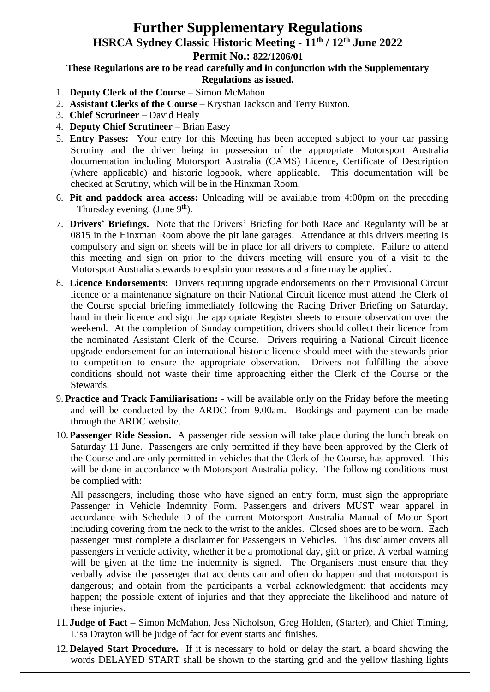## **Further Supplementary Regulations HSRCA Sydney Classic Historic Meeting - 11th / 12th June 2022**

## **Permit No.: 822/1206/01**

## **These Regulations are to be read carefully and in conjunction with the Supplementary Regulations as issued.**

- 1. **Deputy Clerk of the Course** Simon McMahon
- 2. **Assistant Clerks of the Course** Krystian Jackson and Terry Buxton.
- 3. **Chief Scrutineer**  David Healy
- 4. **Deputy Chief Scrutineer**  Brian Easey
- 5. **Entry Passes:** Your entry for this Meeting has been accepted subject to your car passing Scrutiny and the driver being in possession of the appropriate Motorsport Australia documentation including Motorsport Australia (CAMS) Licence, Certificate of Description (where applicable) and historic logbook, where applicable. This documentation will be checked at Scrutiny, which will be in the Hinxman Room.
- 6. **Pit and paddock area access:** Unloading will be available from 4:00pm on the preceding Thursday evening. (June 9<sup>th</sup>).
- 7. **Drivers' Briefings.** Note that the Drivers' Briefing for both Race and Regularity will be at 0815 in the Hinxman Room above the pit lane garages. Attendance at this drivers meeting is compulsory and sign on sheets will be in place for all drivers to complete. Failure to attend this meeting and sign on prior to the drivers meeting will ensure you of a visit to the Motorsport Australia stewards to explain your reasons and a fine may be applied.
- 8. **Licence Endorsements:** Drivers requiring upgrade endorsements on their Provisional Circuit licence or a maintenance signature on their National Circuit licence must attend the Clerk of the Course special briefing immediately following the Racing Driver Briefing on Saturday, hand in their licence and sign the appropriate Register sheets to ensure observation over the weekend. At the completion of Sunday competition, drivers should collect their licence from the nominated Assistant Clerk of the Course. Drivers requiring a National Circuit licence upgrade endorsement for an international historic licence should meet with the stewards prior to competition to ensure the appropriate observation. Drivers not fulfilling the above conditions should not waste their time approaching either the Clerk of the Course or the Stewards.
- 9.**Practice and Track Familiarisation:** will be available only on the Friday before the meeting and will be conducted by the ARDC from 9.00am. Bookings and payment can be made through the ARDC website.
- 10.**Passenger Ride Session.** A passenger ride session will take place during the lunch break on Saturday 11 June. Passengers are only permitted if they have been approved by the Clerk of the Course and are only permitted in vehicles that the Clerk of the Course, has approved. This will be done in accordance with Motorsport Australia policy. The following conditions must be complied with:

All passengers, including those who have signed an entry form, must sign the appropriate Passenger in Vehicle Indemnity Form. Passengers and drivers MUST wear apparel in accordance with Schedule D of the current Motorsport Australia Manual of Motor Sport including covering from the neck to the wrist to the ankles. Closed shoes are to be worn. Each passenger must complete a disclaimer for Passengers in Vehicles. This disclaimer covers all passengers in vehicle activity, whether it be a promotional day, gift or prize. A verbal warning will be given at the time the indemnity is signed. The Organisers must ensure that they verbally advise the passenger that accidents can and often do happen and that motorsport is dangerous; and obtain from the participants a verbal acknowledgment: that accidents may happen; the possible extent of injuries and that they appreciate the likelihood and nature of these injuries.

- 11.**Judge of Fact –** Simon McMahon, Jess Nicholson, Greg Holden, (Starter), and Chief Timing, Lisa Drayton will be judge of fact for event starts and finishes**.**
- 12.**Delayed Start Procedure.** If it is necessary to hold or delay the start, a board showing the words DELAYED START shall be shown to the starting grid and the yellow flashing lights